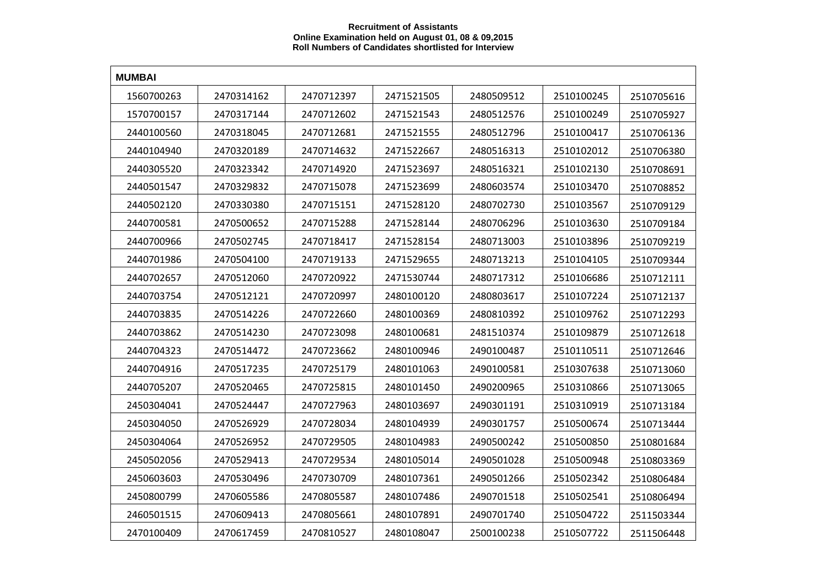## **Recruitment of Assistants Online Examination held on August 01, 08 & 09,2015 Roll Numbers of Candidates shortlisted for Interview**

| <b>MUMBAI</b> |            |            |            |            |            |            |  |  |  |  |
|---------------|------------|------------|------------|------------|------------|------------|--|--|--|--|
| 1560700263    | 2470314162 | 2470712397 | 2471521505 | 2480509512 | 2510100245 | 2510705616 |  |  |  |  |
| 1570700157    | 2470317144 | 2470712602 | 2471521543 | 2480512576 | 2510100249 | 2510705927 |  |  |  |  |
| 2440100560    | 2470318045 | 2470712681 | 2471521555 | 2480512796 | 2510100417 | 2510706136 |  |  |  |  |
| 2440104940    | 2470320189 | 2470714632 | 2471522667 | 2480516313 | 2510102012 | 2510706380 |  |  |  |  |
| 2440305520    | 2470323342 | 2470714920 | 2471523697 | 2480516321 | 2510102130 | 2510708691 |  |  |  |  |
| 2440501547    | 2470329832 | 2470715078 | 2471523699 | 2480603574 | 2510103470 | 2510708852 |  |  |  |  |
| 2440502120    | 2470330380 | 2470715151 | 2471528120 | 2480702730 | 2510103567 | 2510709129 |  |  |  |  |
| 2440700581    | 2470500652 | 2470715288 | 2471528144 | 2480706296 | 2510103630 | 2510709184 |  |  |  |  |
| 2440700966    | 2470502745 | 2470718417 | 2471528154 | 2480713003 | 2510103896 | 2510709219 |  |  |  |  |
| 2440701986    | 2470504100 | 2470719133 | 2471529655 | 2480713213 | 2510104105 | 2510709344 |  |  |  |  |
| 2440702657    | 2470512060 | 2470720922 | 2471530744 | 2480717312 | 2510106686 | 2510712111 |  |  |  |  |
| 2440703754    | 2470512121 | 2470720997 | 2480100120 | 2480803617 | 2510107224 | 2510712137 |  |  |  |  |
| 2440703835    | 2470514226 | 2470722660 | 2480100369 | 2480810392 | 2510109762 | 2510712293 |  |  |  |  |
| 2440703862    | 2470514230 | 2470723098 | 2480100681 | 2481510374 | 2510109879 | 2510712618 |  |  |  |  |
| 2440704323    | 2470514472 | 2470723662 | 2480100946 | 2490100487 | 2510110511 | 2510712646 |  |  |  |  |
| 2440704916    | 2470517235 | 2470725179 | 2480101063 | 2490100581 | 2510307638 | 2510713060 |  |  |  |  |
| 2440705207    | 2470520465 | 2470725815 | 2480101450 | 2490200965 | 2510310866 | 2510713065 |  |  |  |  |
| 2450304041    | 2470524447 | 2470727963 | 2480103697 | 2490301191 | 2510310919 | 2510713184 |  |  |  |  |
| 2450304050    | 2470526929 | 2470728034 | 2480104939 | 2490301757 | 2510500674 | 2510713444 |  |  |  |  |
| 2450304064    | 2470526952 | 2470729505 | 2480104983 | 2490500242 | 2510500850 | 2510801684 |  |  |  |  |
| 2450502056    | 2470529413 | 2470729534 | 2480105014 | 2490501028 | 2510500948 | 2510803369 |  |  |  |  |
| 2450603603    | 2470530496 | 2470730709 | 2480107361 | 2490501266 | 2510502342 | 2510806484 |  |  |  |  |
| 2450800799    | 2470605586 | 2470805587 | 2480107486 | 2490701518 | 2510502541 | 2510806494 |  |  |  |  |
| 2460501515    | 2470609413 | 2470805661 | 2480107891 | 2490701740 | 2510504722 | 2511503344 |  |  |  |  |
| 2470100409    | 2470617459 | 2470810527 | 2480108047 | 2500100238 | 2510507722 | 2511506448 |  |  |  |  |